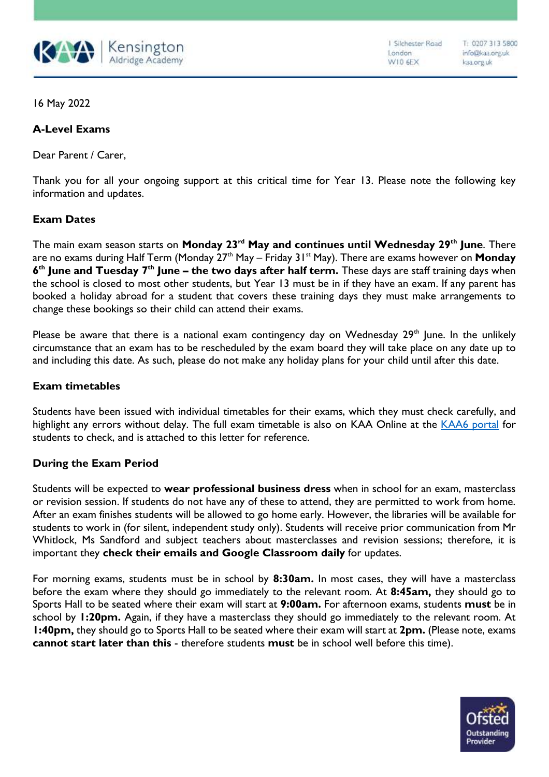

I Silchester Road London W10 6EX

16 May 2022

# **A-Level Exams**

Dear Parent / Carer,

Thank you for all your ongoing support at this critical time for Year 13. Please note the following key information and updates.

## **Exam Dates**

The main exam season starts on **Monday 23rd May and continues until Wednesday 29th June**. There are no exams during Half Term (Monday 27<sup>th</sup> May – Friday 31<sup>st</sup> May). There are exams however on **Monday 6 th June and Tuesday 7th June – the two days after half term.** These days are staff training days when the school is closed to most other students, but Year 13 must be in if they have an exam. If any parent has booked a holiday abroad for a student that covers these training days they must make arrangements to change these bookings so their child can attend their exams.

Please be aware that there is a national exam contingency day on Wednesday 29<sup>th</sup> June. In the unlikely circumstance that an exam has to be rescheduled by the exam board they will take place on any date up to and including this date. As such, please do not make any holiday plans for your child until after this date.

#### **Exam timetables**

Students have been issued with individual timetables for their exams, which they must check carefully, and highlight any errors without delay. The full exam timetable is also on KAA Online at the [KAA6 portal](https://sites.google.com/kaa.org.uk/kaasixthform) for students to check, and is attached to this letter for reference.

## **During the Exam Period**

Students will be expected to **wear professional business dress** when in school for an exam, masterclass or revision session. If students do not have any of these to attend, they are permitted to work from home. After an exam finishes students will be allowed to go home early. However, the libraries will be available for students to work in (for silent, independent study only). Students will receive prior communication from Mr Whitlock, Ms Sandford and subject teachers about masterclasses and revision sessions; therefore, it is important they **check their emails and Google Classroom daily** for updates.

For morning exams, students must be in school by **8:30am.** In most cases, they will have a masterclass before the exam where they should go immediately to the relevant room. At **8:45am,** they should go to Sports Hall to be seated where their exam will start at **9:00am.** For afternoon exams, students **must** be in school by **1:20pm.** Again, if they have a masterclass they should go immediately to the relevant room. At **1:40pm,** they should go to Sports Hall to be seated where their exam will start at **2pm.** (Please note, exams **cannot start later than this** - therefore students **must** be in school well before this time).